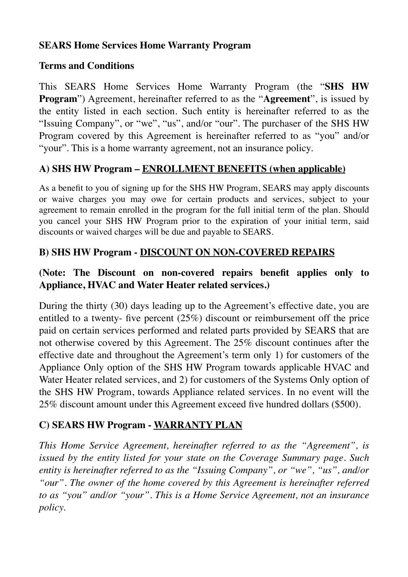#### **SEARS Home Services Home Warranty Program**

#### **Terms and Conditions**

This SEARS Home Services Home Warranty Program (the "**SHS HW Program**") Agreement, hereinafter referred to as the "**Agreement**", is issued by the entity listed in each section. Such entity is hereinafter referred to as the "Issuing Company", or "we", "us", and/or "our". The purchaser of the SHS HW Program covered by this Agreement is hereinafter referred to as "you" and/or "your". This is a home warranty agreement, not an insurance policy.

#### **A) SHS HW Program – ENROLLMENT BENEFITS (when applicable)**

As a benefit to you of signing up for the SHS HW Program, SEARS may apply discounts or waive charges you may owe for certain products and services, subject to your agreement to remain enrolled in the program for the full initial term of the plan. Should you cancel your SHS HW Program prior to the expiration of your initial term, said discounts or waived charges will be due and payable to SEARS.

#### **B) SHS HW Program - DISCOUNT ON NON-COVERED REPAIRS**

### **(Note: The Discount on non-covered repairs benefit applies only to Appliance, HVAC and Water Heater related services.)**

During the thirty (30) days leading up to the Agreement's effective date, you are entitled to a twenty- five percent (25%) discount or reimbursement off the price paid on certain services performed and related parts provided by SEARS that are not otherwise covered by this Agreement. The 25% discount continues after the effective date and throughout the Agreement's term only 1) for customers of the Appliance Only option of the SHS HW Program towards applicable HVAC and Water Heater related services, and 2) for customers of the Systems Only option of the SHS HW Program, towards Appliance related services. In no event will the 25% discount amount under this Agreement exceed five hundred dollars (\$500).

### **C) SEARS HW Program - WARRANTY PLAN**

*This Home Service Agreement, hereinafter referred to as the "Agreement", is issued by the entity listed for your state on the Coverage Summary page. Such entity is hereinafter referred to as the "Issuing Company", or "we", "us", and/or "our". The owner of the home covered by this Agreement is hereinafter referred to as "you" and/or "your". This is a Home Service Agreement, not an insurance policy.*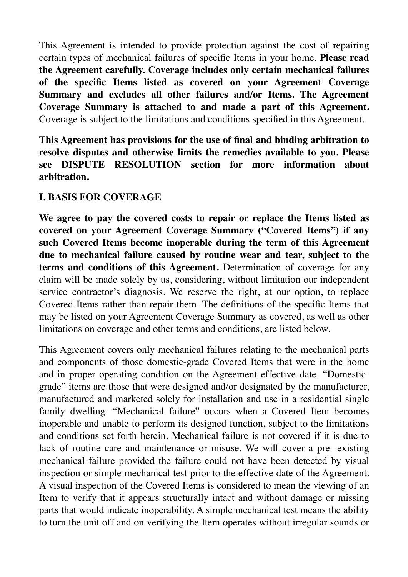This Agreement is intended to provide protection against the cost of repairing certain types of mechanical failures of specific Items in your home. **Please read the Agreement carefully. Coverage includes only certain mechanical failures of the specific Items listed as covered on your Agreement Coverage Summary and excludes all other failures and/or Items. The Agreement Coverage Summary is attached to and made a part of this Agreement.** Coverage is subject to the limitations and conditions specified in this Agreement.

**This Agreement has provisions for the use of final and binding arbitration to resolve disputes and otherwise limits the remedies available to you. Please see DISPUTE RESOLUTION section for more information about arbitration.** 

#### **I. BASIS FOR COVERAGE**

**We agree to pay the covered costs to repair or replace the Items listed as covered on your Agreement Coverage Summary ("Covered Items") if any such Covered Items become inoperable during the term of this Agreement due to mechanical failure caused by routine wear and tear, subject to the terms and conditions of this Agreement.** Determination of coverage for any claim will be made solely by us, considering, without limitation our independent service contractor's diagnosis. We reserve the right, at our option, to replace Covered Items rather than repair them. The definitions of the specific Items that may be listed on your Agreement Coverage Summary as covered, as well as other limitations on coverage and other terms and conditions, are listed below.

This Agreement covers only mechanical failures relating to the mechanical parts and components of those domestic-grade Covered Items that were in the home and in proper operating condition on the Agreement effective date. "Domesticgrade" items are those that were designed and/or designated by the manufacturer, manufactured and marketed solely for installation and use in a residential single family dwelling. "Mechanical failure" occurs when a Covered Item becomes inoperable and unable to perform its designed function, subject to the limitations and conditions set forth herein. Mechanical failure is not covered if it is due to lack of routine care and maintenance or misuse. We will cover a pre- existing mechanical failure provided the failure could not have been detected by visual inspection or simple mechanical test prior to the effective date of the Agreement. A visual inspection of the Covered Items is considered to mean the viewing of an Item to verify that it appears structurally intact and without damage or missing parts that would indicate inoperability. A simple mechanical test means the ability to turn the unit off and on verifying the Item operates without irregular sounds or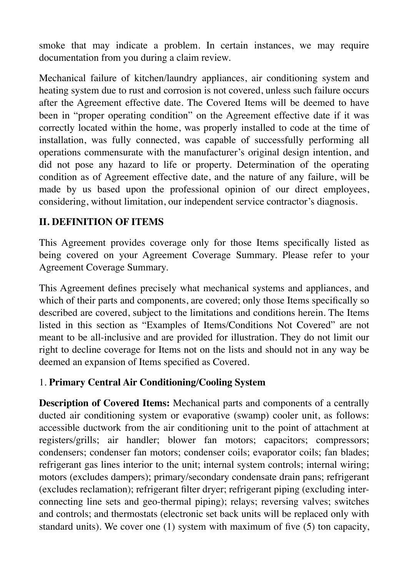smoke that may indicate a problem. In certain instances, we may require documentation from you during a claim review.

Mechanical failure of kitchen/laundry appliances, air conditioning system and heating system due to rust and corrosion is not covered, unless such failure occurs after the Agreement effective date. The Covered Items will be deemed to have been in "proper operating condition" on the Agreement effective date if it was correctly located within the home, was properly installed to code at the time of installation, was fully connected, was capable of successfully performing all operations commensurate with the manufacturer's original design intention, and did not pose any hazard to life or property. Determination of the operating condition as of Agreement effective date, and the nature of any failure, will be made by us based upon the professional opinion of our direct employees, considering, without limitation, our independent service contractor's diagnosis.

### **II. DEFINITION OF ITEMS**

This Agreement provides coverage only for those Items specifically listed as being covered on your Agreement Coverage Summary. Please refer to your Agreement Coverage Summary.

This Agreement defines precisely what mechanical systems and appliances, and which of their parts and components, are covered; only those Items specifically so described are covered, subject to the limitations and conditions herein. The Items listed in this section as "Examples of Items/Conditions Not Covered" are not meant to be all-inclusive and are provided for illustration. They do not limit our right to decline coverage for Items not on the lists and should not in any way be deemed an expansion of Items specified as Covered.

### 1. **Primary Central Air Conditioning/Cooling System**

**Description of Covered Items:** Mechanical parts and components of a centrally ducted air conditioning system or evaporative (swamp) cooler unit, as follows: accessible ductwork from the air conditioning unit to the point of attachment at registers/grills; air handler; blower fan motors; capacitors; compressors; condensers; condenser fan motors; condenser coils; evaporator coils; fan blades; refrigerant gas lines interior to the unit; internal system controls; internal wiring; motors (excludes dampers); primary/secondary condensate drain pans; refrigerant (excludes reclamation); refrigerant filter dryer; refrigerant piping (excluding interconnecting line sets and geo-thermal piping); relays; reversing valves; switches and controls; and thermostats (electronic set back units will be replaced only with standard units). We cover one (1) system with maximum of five (5) ton capacity,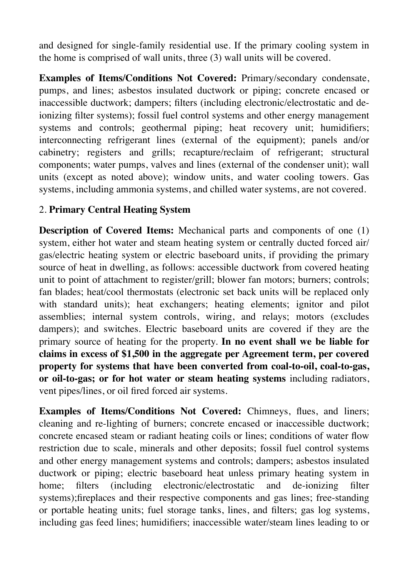and designed for single-family residential use. If the primary cooling system in the home is comprised of wall units, three (3) wall units will be covered.

**Examples of Items/Conditions Not Covered:** Primary/secondary condensate, pumps, and lines; asbestos insulated ductwork or piping; concrete encased or inaccessible ductwork; dampers; filters (including electronic/electrostatic and deionizing filter systems); fossil fuel control systems and other energy management systems and controls; geothermal piping; heat recovery unit; humidifiers; interconnecting refrigerant lines (external of the equipment); panels and/or cabinetry; registers and grills; recapture/reclaim of refrigerant; structural components; water pumps, valves and lines (external of the condenser unit); wall units (except as noted above); window units, and water cooling towers. Gas systems, including ammonia systems, and chilled water systems, are not covered.

### 2. **Primary Central Heating System**

**Description of Covered Items:** Mechanical parts and components of one (1) system, either hot water and steam heating system or centrally ducted forced air/ gas/electric heating system or electric baseboard units, if providing the primary source of heat in dwelling, as follows: accessible ductwork from covered heating unit to point of attachment to register/grill; blower fan motors; burners; controls; fan blades; heat/cool thermostats (electronic set back units will be replaced only with standard units); heat exchangers; heating elements; ignitor and pilot assemblies; internal system controls, wiring, and relays; motors (excludes dampers); and switches. Electric baseboard units are covered if they are the primary source of heating for the property. **In no event shall we be liable for claims in excess of \$1,500 in the aggregate per Agreement term, per covered property for systems that have been converted from coal-to-oil, coal-to-gas, or oil-to-gas; or for hot water or steam heating systems** including radiators, vent pipes/lines, or oil fired forced air systems.

**Examples of Items/Conditions Not Covered:** Chimneys, flues, and liners; cleaning and re-lighting of burners; concrete encased or inaccessible ductwork; concrete encased steam or radiant heating coils or lines; conditions of water flow restriction due to scale, minerals and other deposits; fossil fuel control systems and other energy management systems and controls; dampers; asbestos insulated ductwork or piping; electric baseboard heat unless primary heating system in home; filters (including electronic/electrostatic and de-ionizing filter systems);fireplaces and their respective components and gas lines; free-standing or portable heating units; fuel storage tanks, lines, and filters; gas log systems, including gas feed lines; humidifiers; inaccessible water/steam lines leading to or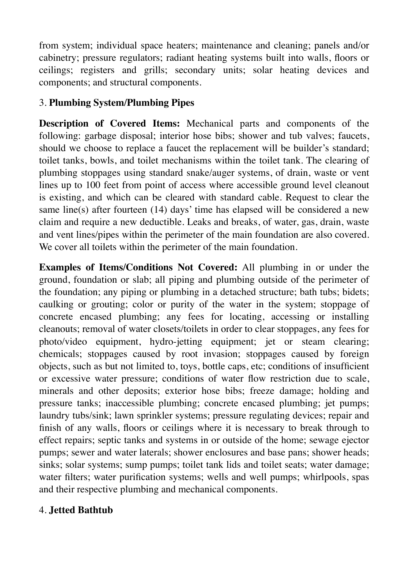from system; individual space heaters; maintenance and cleaning; panels and/or cabinetry; pressure regulators; radiant heating systems built into walls, floors or ceilings; registers and grills; secondary units; solar heating devices and components; and structural components.

## 3. **Plumbing System/Plumbing Pipes**

**Description of Covered Items:** Mechanical parts and components of the following: garbage disposal; interior hose bibs; shower and tub valves; faucets, should we choose to replace a faucet the replacement will be builder's standard; toilet tanks, bowls, and toilet mechanisms within the toilet tank. The clearing of plumbing stoppages using standard snake/auger systems, of drain, waste or vent lines up to 100 feet from point of access where accessible ground level cleanout is existing, and which can be cleared with standard cable. Request to clear the same line(s) after fourteen (14) days' time has elapsed will be considered a new claim and require a new deductible. Leaks and breaks, of water, gas, drain, waste and vent lines/pipes within the perimeter of the main foundation are also covered. We cover all toilets within the perimeter of the main foundation.

**Examples of Items/Conditions Not Covered:** All plumbing in or under the ground, foundation or slab; all piping and plumbing outside of the perimeter of the foundation; any piping or plumbing in a detached structure; bath tubs; bidets; caulking or grouting; color or purity of the water in the system; stoppage of concrete encased plumbing; any fees for locating, accessing or installing cleanouts; removal of water closets/toilets in order to clear stoppages, any fees for photo/video equipment, hydro-jetting equipment; jet or steam clearing; chemicals; stoppages caused by root invasion; stoppages caused by foreign objects, such as but not limited to, toys, bottle caps, etc; conditions of insufficient or excessive water pressure; conditions of water flow restriction due to scale, minerals and other deposits; exterior hose bibs; freeze damage; holding and pressure tanks; inaccessible plumbing; concrete encased plumbing; jet pumps; laundry tubs/sink; lawn sprinkler systems; pressure regulating devices; repair and finish of any walls, floors or ceilings where it is necessary to break through to effect repairs; septic tanks and systems in or outside of the home; sewage ejector pumps; sewer and water laterals; shower enclosures and base pans; shower heads; sinks; solar systems; sump pumps; toilet tank lids and toilet seats; water damage; water filters; water purification systems; wells and well pumps; whirlpools, spas and their respective plumbing and mechanical components.

### 4. **Jetted Bathtub**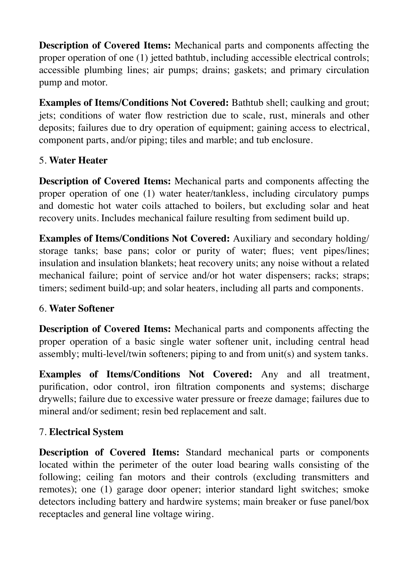**Description of Covered Items:** Mechanical parts and components affecting the proper operation of one (1) jetted bathtub, including accessible electrical controls; accessible plumbing lines; air pumps; drains; gaskets; and primary circulation pump and motor.

**Examples of Items/Conditions Not Covered: Bathtub shell; caulking and grout;** jets; conditions of water flow restriction due to scale, rust, minerals and other deposits; failures due to dry operation of equipment; gaining access to electrical, component parts, and/or piping; tiles and marble; and tub enclosure.

### 5. **Water Heater**

**Description of Covered Items:** Mechanical parts and components affecting the proper operation of one (1) water heater/tankless, including circulatory pumps and domestic hot water coils attached to boilers, but excluding solar and heat recovery units. Includes mechanical failure resulting from sediment build up.

**Examples of Items/Conditions Not Covered:** Auxiliary and secondary holding/ storage tanks; base pans; color or purity of water; flues; vent pipes/lines; insulation and insulation blankets; heat recovery units; any noise without a related mechanical failure; point of service and/or hot water dispensers; racks; straps; timers; sediment build-up; and solar heaters, including all parts and components.

### 6. **Water Softener**

**Description of Covered Items:** Mechanical parts and components affecting the proper operation of a basic single water softener unit, including central head assembly; multi-level/twin softeners; piping to and from unit(s) and system tanks.

**Examples of Items/Conditions Not Covered:** Any and all treatment, purification, odor control, iron filtration components and systems; discharge drywells; failure due to excessive water pressure or freeze damage; failures due to mineral and/or sediment; resin bed replacement and salt.

#### 7. **Electrical System**

**Description of Covered Items:** Standard mechanical parts or components located within the perimeter of the outer load bearing walls consisting of the following; ceiling fan motors and their controls (excluding transmitters and remotes); one (1) garage door opener; interior standard light switches; smoke detectors including battery and hardwire systems; main breaker or fuse panel/box receptacles and general line voltage wiring.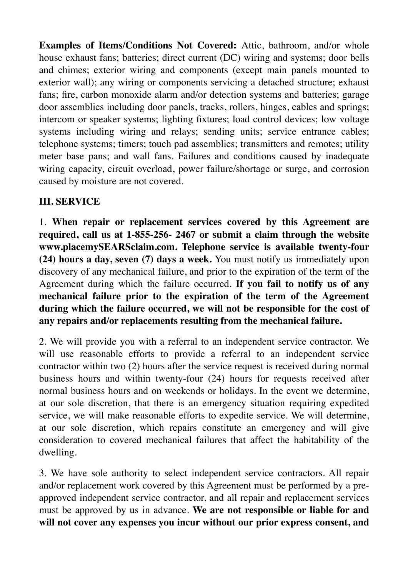**Examples of Items/Conditions Not Covered:** Attic, bathroom, and/or whole house exhaust fans; batteries; direct current (DC) wiring and systems; door bells and chimes; exterior wiring and components (except main panels mounted to exterior wall); any wiring or components servicing a detached structure; exhaust fans; fire, carbon monoxide alarm and/or detection systems and batteries; garage door assemblies including door panels, tracks, rollers, hinges, cables and springs; intercom or speaker systems; lighting fixtures; load control devices; low voltage systems including wiring and relays; sending units; service entrance cables; telephone systems; timers; touch pad assemblies; transmitters and remotes; utility meter base pans; and wall fans. Failures and conditions caused by inadequate wiring capacity, circuit overload, power failure/shortage or surge, and corrosion caused by moisture are not covered.

# **III. SERVICE**

1. **When repair or replacement services covered by this Agreement are required, call us at 1-855-256- 2467 or submit a claim through the website www.placemySEARSclaim.com. Telephone service is available twenty-four (24) hours a day, seven (7) days a week.** You must notify us immediately upon discovery of any mechanical failure, and prior to the expiration of the term of the Agreement during which the failure occurred. **If you fail to notify us of any mechanical failure prior to the expiration of the term of the Agreement during which the failure occurred, we will not be responsible for the cost of any repairs and/or replacements resulting from the mechanical failure.** 

2. We will provide you with a referral to an independent service contractor. We will use reasonable efforts to provide a referral to an independent service contractor within two (2) hours after the service request is received during normal business hours and within twenty-four (24) hours for requests received after normal business hours and on weekends or holidays. In the event we determine, at our sole discretion, that there is an emergency situation requiring expedited service, we will make reasonable efforts to expedite service. We will determine, at our sole discretion, which repairs constitute an emergency and will give consideration to covered mechanical failures that affect the habitability of the dwelling.

3. We have sole authority to select independent service contractors. All repair and/or replacement work covered by this Agreement must be performed by a preapproved independent service contractor, and all repair and replacement services must be approved by us in advance. **We are not responsible or liable for and will not cover any expenses you incur without our prior express consent, and**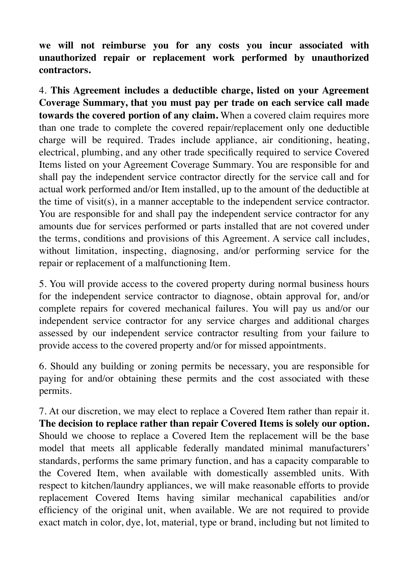**we will not reimburse you for any costs you incur associated with unauthorized repair or replacement work performed by unauthorized contractors.** 

4. **This Agreement includes a deductible charge, listed on your Agreement Coverage Summary, that you must pay per trade on each service call made towards the covered portion of any claim.** When a covered claim requires more than one trade to complete the covered repair/replacement only one deductible charge will be required. Trades include appliance, air conditioning, heating, electrical, plumbing, and any other trade specifically required to service Covered Items listed on your Agreement Coverage Summary. You are responsible for and shall pay the independent service contractor directly for the service call and for actual work performed and/or Item installed, up to the amount of the deductible at the time of visit(s), in a manner acceptable to the independent service contractor. You are responsible for and shall pay the independent service contractor for any amounts due for services performed or parts installed that are not covered under the terms, conditions and provisions of this Agreement. A service call includes, without limitation, inspecting, diagnosing, and/or performing service for the repair or replacement of a malfunctioning Item.

5. You will provide access to the covered property during normal business hours for the independent service contractor to diagnose, obtain approval for, and/or complete repairs for covered mechanical failures. You will pay us and/or our independent service contractor for any service charges and additional charges assessed by our independent service contractor resulting from your failure to provide access to the covered property and/or for missed appointments.

6. Should any building or zoning permits be necessary, you are responsible for paying for and/or obtaining these permits and the cost associated with these permits.

7. At our discretion, we may elect to replace a Covered Item rather than repair it. **The decision to replace rather than repair Covered Items is solely our option.**  Should we choose to replace a Covered Item the replacement will be the base model that meets all applicable federally mandated minimal manufacturers' standards, performs the same primary function, and has a capacity comparable to the Covered Item, when available with domestically assembled units. With respect to kitchen/laundry appliances, we will make reasonable efforts to provide replacement Covered Items having similar mechanical capabilities and/or efficiency of the original unit, when available. We are not required to provide exact match in color, dye, lot, material, type or brand, including but not limited to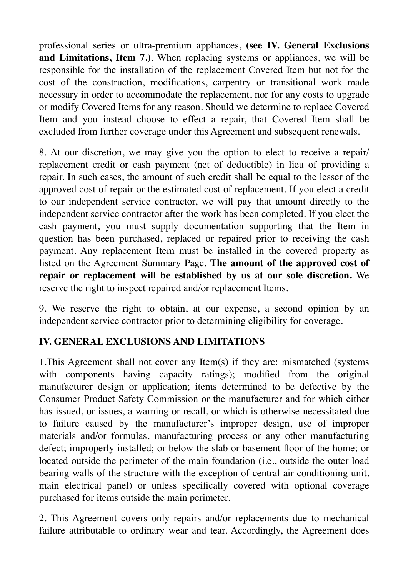professional series or ultra-premium appliances, **(see IV. General Exclusions and Limitations, Item 7.)**. When replacing systems or appliances, we will be responsible for the installation of the replacement Covered Item but not for the cost of the construction, modifications, carpentry or transitional work made necessary in order to accommodate the replacement, nor for any costs to upgrade or modify Covered Items for any reason. Should we determine to replace Covered Item and you instead choose to effect a repair, that Covered Item shall be excluded from further coverage under this Agreement and subsequent renewals.

8. At our discretion, we may give you the option to elect to receive a repair/ replacement credit or cash payment (net of deductible) in lieu of providing a repair. In such cases, the amount of such credit shall be equal to the lesser of the approved cost of repair or the estimated cost of replacement. If you elect a credit to our independent service contractor, we will pay that amount directly to the independent service contractor after the work has been completed. If you elect the cash payment, you must supply documentation supporting that the Item in question has been purchased, replaced or repaired prior to receiving the cash payment. Any replacement Item must be installed in the covered property as listed on the Agreement Summary Page. **The amount of the approved cost of repair or replacement will be established by us at our sole discretion.** We reserve the right to inspect repaired and/or replacement Items.

9. We reserve the right to obtain, at our expense, a second opinion by an independent service contractor prior to determining eligibility for coverage.

# **IV. GENERAL EXCLUSIONS AND LIMITATIONS**

1.This Agreement shall not cover any Item(s) if they are: mismatched (systems with components having capacity ratings); modified from the original manufacturer design or application; items determined to be defective by the Consumer Product Safety Commission or the manufacturer and for which either has issued, or issues, a warning or recall, or which is otherwise necessitated due to failure caused by the manufacturer's improper design, use of improper materials and/or formulas, manufacturing process or any other manufacturing defect; improperly installed; or below the slab or basement floor of the home; or located outside the perimeter of the main foundation (i.e., outside the outer load bearing walls of the structure with the exception of central air conditioning unit, main electrical panel) or unless specifically covered with optional coverage purchased for items outside the main perimeter.

2. This Agreement covers only repairs and/or replacements due to mechanical failure attributable to ordinary wear and tear. Accordingly, the Agreement does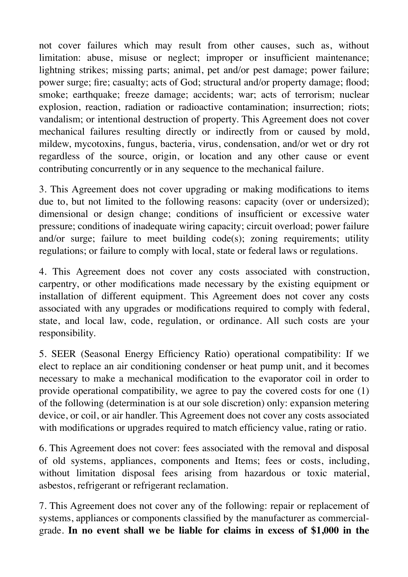not cover failures which may result from other causes, such as, without limitation: abuse, misuse or neglect; improper or insufficient maintenance; lightning strikes; missing parts; animal, pet and/or pest damage; power failure; power surge; fire; casualty; acts of God; structural and/or property damage; flood; smoke; earthquake; freeze damage; accidents; war; acts of terrorism; nuclear explosion, reaction, radiation or radioactive contamination; insurrection; riots; vandalism; or intentional destruction of property. This Agreement does not cover mechanical failures resulting directly or indirectly from or caused by mold, mildew, mycotoxins, fungus, bacteria, virus, condensation, and/or wet or dry rot regardless of the source, origin, or location and any other cause or event contributing concurrently or in any sequence to the mechanical failure.

3. This Agreement does not cover upgrading or making modifications to items due to, but not limited to the following reasons: capacity (over or undersized); dimensional or design change; conditions of insufficient or excessive water pressure; conditions of inadequate wiring capacity; circuit overload; power failure and/or surge; failure to meet building code(s); zoning requirements; utility regulations; or failure to comply with local, state or federal laws or regulations.

4. This Agreement does not cover any costs associated with construction, carpentry, or other modifications made necessary by the existing equipment or installation of different equipment. This Agreement does not cover any costs associated with any upgrades or modifications required to comply with federal, state, and local law, code, regulation, or ordinance. All such costs are your responsibility.

5. SEER (Seasonal Energy Efficiency Ratio) operational compatibility: If we elect to replace an air conditioning condenser or heat pump unit, and it becomes necessary to make a mechanical modification to the evaporator coil in order to provide operational compatibility, we agree to pay the covered costs for one (1) of the following (determination is at our sole discretion) only: expansion metering device, or coil, or air handler. This Agreement does not cover any costs associated with modifications or upgrades required to match efficiency value, rating or ratio.

6. This Agreement does not cover: fees associated with the removal and disposal of old systems, appliances, components and Items; fees or costs, including, without limitation disposal fees arising from hazardous or toxic material, asbestos, refrigerant or refrigerant reclamation.

7. This Agreement does not cover any of the following: repair or replacement of systems, appliances or components classified by the manufacturer as commercialgrade. **In no event shall we be liable for claims in excess of \$1,000 in the**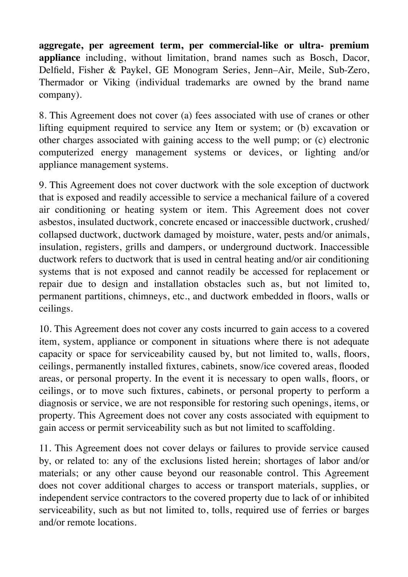**aggregate, per agreement term, per commercial-like or ultra- premium appliance** including, without limitation, brand names such as Bosch, Dacor, Delfield, Fisher & Paykel, GE Monogram Series, Jenn–Air, Meile, Sub-Zero, Thermador or Viking (individual trademarks are owned by the brand name company).

8. This Agreement does not cover (a) fees associated with use of cranes or other lifting equipment required to service any Item or system; or (b) excavation or other charges associated with gaining access to the well pump; or (c) electronic computerized energy management systems or devices, or lighting and/or appliance management systems.

9. This Agreement does not cover ductwork with the sole exception of ductwork that is exposed and readily accessible to service a mechanical failure of a covered air conditioning or heating system or item. This Agreement does not cover asbestos, insulated ductwork, concrete encased or inaccessible ductwork, crushed/ collapsed ductwork, ductwork damaged by moisture, water, pests and/or animals, insulation, registers, grills and dampers, or underground ductwork. Inaccessible ductwork refers to ductwork that is used in central heating and/or air conditioning systems that is not exposed and cannot readily be accessed for replacement or repair due to design and installation obstacles such as, but not limited to, permanent partitions, chimneys, etc., and ductwork embedded in floors, walls or ceilings.

10. This Agreement does not cover any costs incurred to gain access to a covered item, system, appliance or component in situations where there is not adequate capacity or space for serviceability caused by, but not limited to, walls, floors, ceilings, permanently installed fixtures, cabinets, snow/ice covered areas, flooded areas, or personal property. In the event it is necessary to open walls, floors, or ceilings, or to move such fixtures, cabinets, or personal property to perform a diagnosis or service, we are not responsible for restoring such openings, items, or property. This Agreement does not cover any costs associated with equipment to gain access or permit serviceability such as but not limited to scaffolding.

11. This Agreement does not cover delays or failures to provide service caused by, or related to: any of the exclusions listed herein; shortages of labor and/or materials; or any other cause beyond our reasonable control. This Agreement does not cover additional charges to access or transport materials, supplies, or independent service contractors to the covered property due to lack of or inhibited serviceability, such as but not limited to, tolls, required use of ferries or barges and/or remote locations.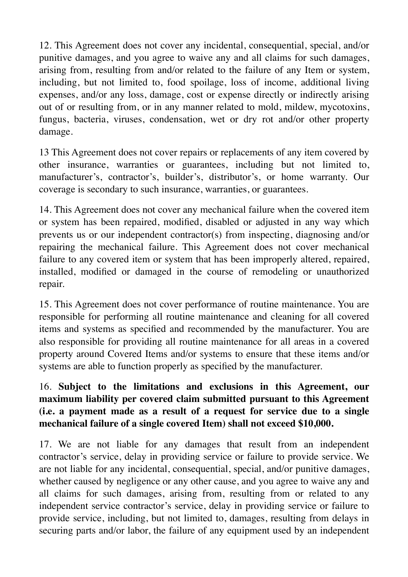12. This Agreement does not cover any incidental, consequential, special, and/or punitive damages, and you agree to waive any and all claims for such damages, arising from, resulting from and/or related to the failure of any Item or system, including, but not limited to, food spoilage, loss of income, additional living expenses, and/or any loss, damage, cost or expense directly or indirectly arising out of or resulting from, or in any manner related to mold, mildew, mycotoxins, fungus, bacteria, viruses, condensation, wet or dry rot and/or other property damage.

13 This Agreement does not cover repairs or replacements of any item covered by other insurance, warranties or guarantees, including but not limited to, manufacturer's, contractor's, builder's, distributor's, or home warranty. Our coverage is secondary to such insurance, warranties, or guarantees.

14. This Agreement does not cover any mechanical failure when the covered item or system has been repaired, modified, disabled or adjusted in any way which prevents us or our independent contractor(s) from inspecting, diagnosing and/or repairing the mechanical failure. This Agreement does not cover mechanical failure to any covered item or system that has been improperly altered, repaired, installed, modified or damaged in the course of remodeling or unauthorized repair.

15. This Agreement does not cover performance of routine maintenance. You are responsible for performing all routine maintenance and cleaning for all covered items and systems as specified and recommended by the manufacturer. You are also responsible for providing all routine maintenance for all areas in a covered property around Covered Items and/or systems to ensure that these items and/or systems are able to function properly as specified by the manufacturer.

## 16. **Subject to the limitations and exclusions in this Agreement, our maximum liability per covered claim submitted pursuant to this Agreement (i.e. a payment made as a result of a request for service due to a single mechanical failure of a single covered Item) shall not exceed \$10,000.**

17. We are not liable for any damages that result from an independent contractor's service, delay in providing service or failure to provide service. We are not liable for any incidental, consequential, special, and/or punitive damages, whether caused by negligence or any other cause, and you agree to waive any and all claims for such damages, arising from, resulting from or related to any independent service contractor's service, delay in providing service or failure to provide service, including, but not limited to, damages, resulting from delays in securing parts and/or labor, the failure of any equipment used by an independent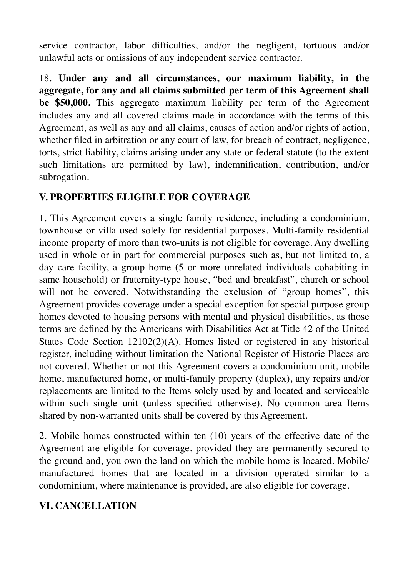service contractor, labor difficulties, and/or the negligent, tortuous and/or unlawful acts or omissions of any independent service contractor.

18. **Under any and all circumstances, our maximum liability, in the aggregate, for any and all claims submitted per term of this Agreement shall be \$50,000.** This aggregate maximum liability per term of the Agreement includes any and all covered claims made in accordance with the terms of this Agreement, as well as any and all claims, causes of action and/or rights of action, whether filed in arbitration or any court of law, for breach of contract, negligence, torts, strict liability, claims arising under any state or federal statute (to the extent such limitations are permitted by law), indemnification, contribution, and/or subrogation.

### **V. PROPERTIES ELIGIBLE FOR COVERAGE**

1. This Agreement covers a single family residence, including a condominium, townhouse or villa used solely for residential purposes. Multi-family residential income property of more than two-units is not eligible for coverage. Any dwelling used in whole or in part for commercial purposes such as, but not limited to, a day care facility, a group home (5 or more unrelated individuals cohabiting in same household) or fraternity-type house, "bed and breakfast", church or school will not be covered. Notwithstanding the exclusion of "group homes", this Agreement provides coverage under a special exception for special purpose group homes devoted to housing persons with mental and physical disabilities, as those terms are defined by the Americans with Disabilities Act at Title 42 of the United States Code Section 12102(2)(A). Homes listed or registered in any historical register, including without limitation the National Register of Historic Places are not covered. Whether or not this Agreement covers a condominium unit, mobile home, manufactured home, or multi-family property (duplex), any repairs and/or replacements are limited to the Items solely used by and located and serviceable within such single unit (unless specified otherwise). No common area Items shared by non-warranted units shall be covered by this Agreement.

2. Mobile homes constructed within ten (10) years of the effective date of the Agreement are eligible for coverage, provided they are permanently secured to the ground and, you own the land on which the mobile home is located. Mobile/ manufactured homes that are located in a division operated similar to a condominium, where maintenance is provided, are also eligible for coverage.

### **VI. CANCELLATION**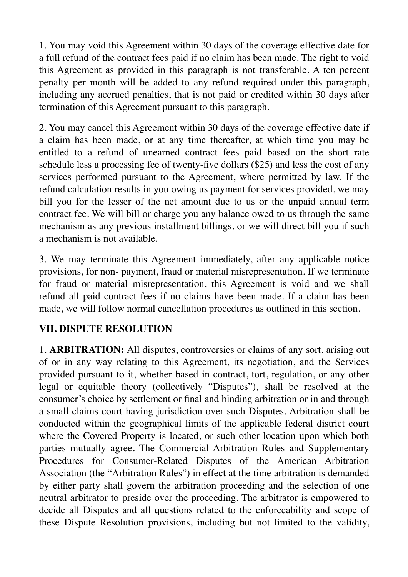1. You may void this Agreement within 30 days of the coverage effective date for a full refund of the contract fees paid if no claim has been made. The right to void this Agreement as provided in this paragraph is not transferable. A ten percent penalty per month will be added to any refund required under this paragraph, including any accrued penalties, that is not paid or credited within 30 days after termination of this Agreement pursuant to this paragraph.

2. You may cancel this Agreement within 30 days of the coverage effective date if a claim has been made, or at any time thereafter, at which time you may be entitled to a refund of unearned contract fees paid based on the short rate schedule less a processing fee of twenty-five dollars (\$25) and less the cost of any services performed pursuant to the Agreement, where permitted by law. If the refund calculation results in you owing us payment for services provided, we may bill you for the lesser of the net amount due to us or the unpaid annual term contract fee. We will bill or charge you any balance owed to us through the same mechanism as any previous installment billings, or we will direct bill you if such a mechanism is not available.

3. We may terminate this Agreement immediately, after any applicable notice provisions, for non- payment, fraud or material misrepresentation. If we terminate for fraud or material misrepresentation, this Agreement is void and we shall refund all paid contract fees if no claims have been made. If a claim has been made, we will follow normal cancellation procedures as outlined in this section.

# **VII. DISPUTE RESOLUTION**

1. **ARBITRATION:** All disputes, controversies or claims of any sort, arising out of or in any way relating to this Agreement, its negotiation, and the Services provided pursuant to it, whether based in contract, tort, regulation, or any other legal or equitable theory (collectively "Disputes"), shall be resolved at the consumer's choice by settlement or final and binding arbitration or in and through a small claims court having jurisdiction over such Disputes. Arbitration shall be conducted within the geographical limits of the applicable federal district court where the Covered Property is located, or such other location upon which both parties mutually agree. The Commercial Arbitration Rules and Supplementary Procedures for Consumer-Related Disputes of the American Arbitration Association (the "Arbitration Rules") in effect at the time arbitration is demanded by either party shall govern the arbitration proceeding and the selection of one neutral arbitrator to preside over the proceeding. The arbitrator is empowered to decide all Disputes and all questions related to the enforceability and scope of these Dispute Resolution provisions, including but not limited to the validity,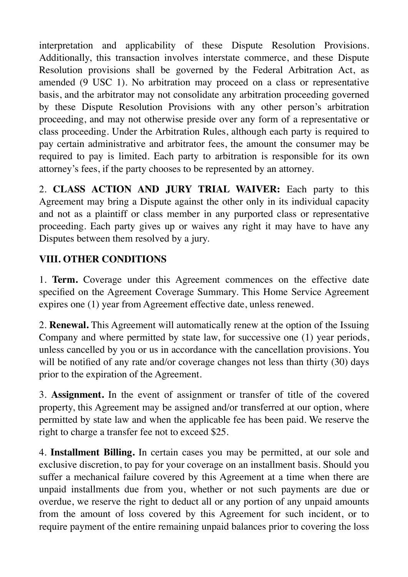interpretation and applicability of these Dispute Resolution Provisions. Additionally, this transaction involves interstate commerce, and these Dispute Resolution provisions shall be governed by the Federal Arbitration Act, as amended (9 USC 1). No arbitration may proceed on a class or representative basis, and the arbitrator may not consolidate any arbitration proceeding governed by these Dispute Resolution Provisions with any other person's arbitration proceeding, and may not otherwise preside over any form of a representative or class proceeding. Under the Arbitration Rules, although each party is required to pay certain administrative and arbitrator fees, the amount the consumer may be required to pay is limited. Each party to arbitration is responsible for its own attorney's fees, if the party chooses to be represented by an attorney.

2. **CLASS ACTION AND JURY TRIAL WAIVER:** Each party to this Agreement may bring a Dispute against the other only in its individual capacity and not as a plaintiff or class member in any purported class or representative proceeding. Each party gives up or waives any right it may have to have any Disputes between them resolved by a jury.

# **VIII. OTHER CONDITIONS**

1. **Term.** Coverage under this Agreement commences on the effective date specified on the Agreement Coverage Summary. This Home Service Agreement expires one (1) year from Agreement effective date, unless renewed.

2. **Renewal.** This Agreement will automatically renew at the option of the Issuing Company and where permitted by state law, for successive one (1) year periods, unless cancelled by you or us in accordance with the cancellation provisions. You will be notified of any rate and/or coverage changes not less than thirty (30) days prior to the expiration of the Agreement.

3. **Assignment.** In the event of assignment or transfer of title of the covered property, this Agreement may be assigned and/or transferred at our option, where permitted by state law and when the applicable fee has been paid. We reserve the right to charge a transfer fee not to exceed \$25.

4. **Installment Billing.** In certain cases you may be permitted, at our sole and exclusive discretion, to pay for your coverage on an installment basis. Should you suffer a mechanical failure covered by this Agreement at a time when there are unpaid installments due from you, whether or not such payments are due or overdue, we reserve the right to deduct all or any portion of any unpaid amounts from the amount of loss covered by this Agreement for such incident, or to require payment of the entire remaining unpaid balances prior to covering the loss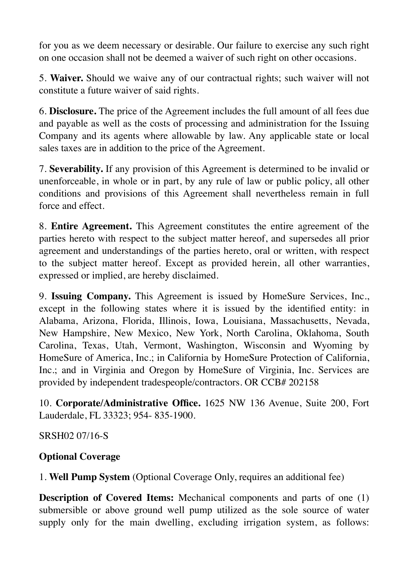for you as we deem necessary or desirable. Our failure to exercise any such right on one occasion shall not be deemed a waiver of such right on other occasions.

5. **Waiver.** Should we waive any of our contractual rights; such waiver will not constitute a future waiver of said rights.

6. **Disclosure.** The price of the Agreement includes the full amount of all fees due and payable as well as the costs of processing and administration for the Issuing Company and its agents where allowable by law. Any applicable state or local sales taxes are in addition to the price of the Agreement.

7. **Severability.** If any provision of this Agreement is determined to be invalid or unenforceable, in whole or in part, by any rule of law or public policy, all other conditions and provisions of this Agreement shall nevertheless remain in full force and effect.

8. **Entire Agreement.** This Agreement constitutes the entire agreement of the parties hereto with respect to the subject matter hereof, and supersedes all prior agreement and understandings of the parties hereto, oral or written, with respect to the subject matter hereof. Except as provided herein, all other warranties, expressed or implied, are hereby disclaimed.

9. **Issuing Company.** This Agreement is issued by HomeSure Services, Inc., except in the following states where it is issued by the identified entity: in Alabama, Arizona, Florida, Illinois, Iowa, Louisiana, Massachusetts, Nevada, New Hampshire, New Mexico, New York, North Carolina, Oklahoma, South Carolina, Texas, Utah, Vermont, Washington, Wisconsin and Wyoming by HomeSure of America, Inc.; in California by HomeSure Protection of California, Inc.; and in Virginia and Oregon by HomeSure of Virginia, Inc. Services are provided by independent tradespeople/contractors. OR CCB# 202158

10. **Corporate/Administrative Office.** 1625 NW 136 Avenue, Suite 200, Fort Lauderdale, FL 33323; 954- 835-1900.

SRSH02 07/16-S

### **Optional Coverage**

1. **Well Pump System** (Optional Coverage Only, requires an additional fee)

**Description of Covered Items:** Mechanical components and parts of one (1) submersible or above ground well pump utilized as the sole source of water supply only for the main dwelling, excluding irrigation system, as follows: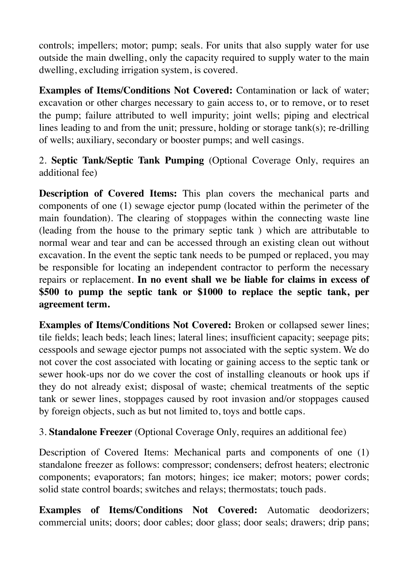controls; impellers; motor; pump; seals. For units that also supply water for use outside the main dwelling, only the capacity required to supply water to the main dwelling, excluding irrigation system, is covered.

**Examples of Items/Conditions Not Covered:** Contamination or lack of water; excavation or other charges necessary to gain access to, or to remove, or to reset the pump; failure attributed to well impurity; joint wells; piping and electrical lines leading to and from the unit; pressure, holding or storage tank(s); re-drilling of wells; auxiliary, secondary or booster pumps; and well casings.

2. **Septic Tank/Septic Tank Pumping** (Optional Coverage Only, requires an additional fee)

**Description of Covered Items:** This plan covers the mechanical parts and components of one (1) sewage ejector pump (located within the perimeter of the main foundation). The clearing of stoppages within the connecting waste line (leading from the house to the primary septic tank ) which are attributable to normal wear and tear and can be accessed through an existing clean out without excavation. In the event the septic tank needs to be pumped or replaced, you may be responsible for locating an independent contractor to perform the necessary repairs or replacement. **In no event shall we be liable for claims in excess of \$500 to pump the septic tank or \$1000 to replace the septic tank, per agreement term.** 

**Examples of Items/Conditions Not Covered:** Broken or collapsed sewer lines; tile fields; leach beds; leach lines; lateral lines; insufficient capacity; seepage pits; cesspools and sewage ejector pumps not associated with the septic system. We do not cover the cost associated with locating or gaining access to the septic tank or sewer hook-ups nor do we cover the cost of installing cleanouts or hook ups if they do not already exist; disposal of waste; chemical treatments of the septic tank or sewer lines, stoppages caused by root invasion and/or stoppages caused by foreign objects, such as but not limited to, toys and bottle caps.

3. **Standalone Freezer** (Optional Coverage Only, requires an additional fee)

Description of Covered Items: Mechanical parts and components of one (1) standalone freezer as follows: compressor; condensers; defrost heaters; electronic components; evaporators; fan motors; hinges; ice maker; motors; power cords; solid state control boards; switches and relays; thermostats; touch pads.

**Examples of Items/Conditions Not Covered:** Automatic deodorizers; commercial units; doors; door cables; door glass; door seals; drawers; drip pans;